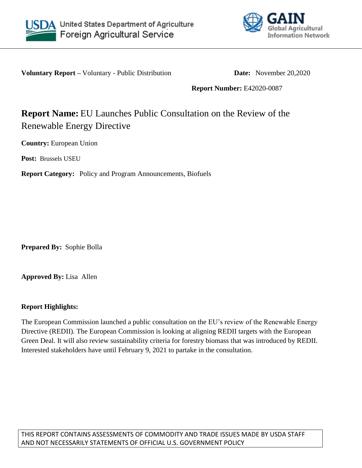



**Voluntary Report –** Voluntary - Public Distribution **Date:** November 20,2020

**Report Number:** E42020-0087

# **Report Name:** EU Launches Public Consultation on the Review of the Renewable Energy Directive

**Country:** European Union

**Post:** Brussels USEU

**Report Category:** Policy and Program Announcements, Biofuels

**Prepared By:** Sophie Bolla

**Approved By:** Lisa Allen

# **Report Highlights:**

The European Commission launched a public consultation on the EU's review of the Renewable Energy Directive (REDII). The European Commission is looking at aligning REDII targets with the European Green Deal. It will also review sustainability criteria for forestry biomass that was introduced by REDII. Interested stakeholders have until February 9, 2021 to partake in the consultation.

THIS REPORT CONTAINS ASSESSMENTS OF COMMODITY AND TRADE ISSUES MADE BY USDA STAFF AND NOT NECESSARILY STATEMENTS OF OFFICIAL U.S. GOVERNMENT POLICY